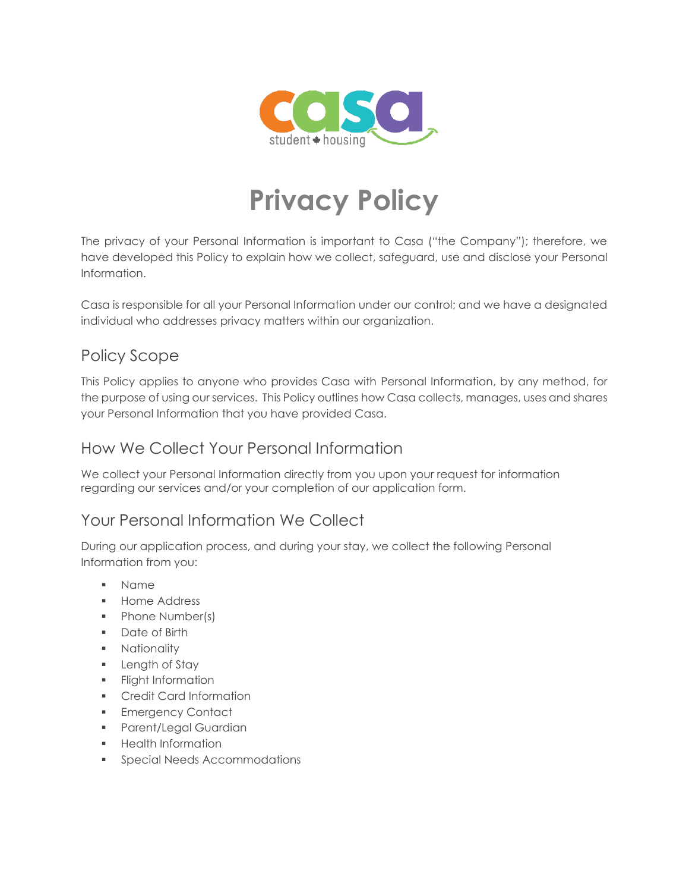

# **Privacy Policy**

The privacy of your Personal Information is important to Casa ("the Company"); therefore, we have developed this Policy to explain how we collect, safeguard, use and disclose your Personal Information.

Casa is responsible for all your Personal Information under our control; and we have a designated individual who addresses privacy matters within our organization.

#### Policy Scope

This Policy applies to anyone who provides Casa with Personal Information, by any method, for the purpose of using our services. This Policy outlines how Casa collects, manages, uses and shares your Personal Information that you have provided Casa.

#### How We Collect Your Personal Information

We collect your Personal Information directly from you upon your request for information regarding our services and/or your completion of our application form.

#### Your Personal Information We Collect

During our application process, and during your stay, we collect the following Personal Information from you:

- Name
- Home Address
- Phone Number(s)
- Date of Birth
- **■** Nationality
- **E** Length of Stay
- **•** Flight Information
- Credit Card Information
- **Emergency Contact**
- Parent/Legal Guardian
- Health Information
- **•** Special Needs Accommodations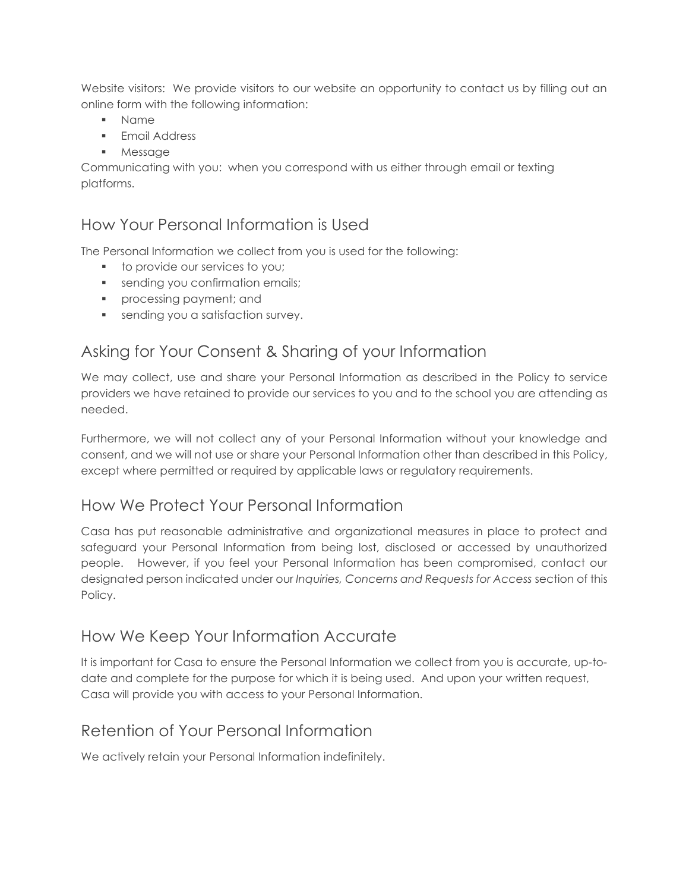Website visitors: We provide visitors to our website an opportunity to contact us by filling out an online form with the following information:

- Name
- **■** Email Address
- Message

Communicating with you: when you correspond with us either through email or texting platforms.

#### How Your Personal Information is Used

The Personal Information we collect from you is used for the following:

- to provide our services to you;
- **•** sending you confirmation emails;
- **•** processing payment; and
- **•** sending you a satisfaction survey.

# Asking for Your Consent & Sharing of your Information

We may collect, use and share your Personal Information as described in the Policy to service providers we have retained to provide our services to you and to the school you are attending as needed.

Furthermore, we will not collect any of your Personal Information without your knowledge and consent, and we will not use or share your Personal Information other than described in this Policy, except where permitted or required by applicable laws or regulatory requirements.

#### How We Protect Your Personal Information

Casa has put reasonable administrative and organizational measures in place to protect and safeguard your Personal Information from being lost, disclosed or accessed by unauthorized people. However, if you feel your Personal Information has been compromised, contact our designated person indicated under our *Inquiries, Concerns and Requests for Access* section of this Policy.

#### How We Keep Your Information Accurate

It is important for Casa to ensure the Personal Information we collect from you is accurate, up-todate and complete for the purpose for which it is being used. And upon your written request, Casa will provide you with access to your Personal Information.

#### Retention of Your Personal Information

We actively retain your Personal Information indefinitely.